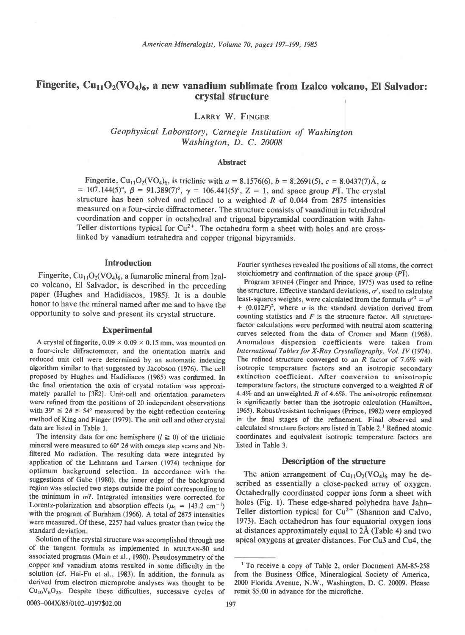# Fingerite,  $Cu_{11}O_2(VO_4)_6$ , a new vanadium sublimate from Izalco volcano, El Salvador: crystal structure

LARRY W. FINGER

Geophysical Laboratory, Carnegie Institution of Washington Washington, D. C. 20008

## Abstract

Fingerite, Cu<sub>11</sub>O<sub>2</sub>(VO<sub>4</sub>)<sub>6</sub>, is triclinic with  $a = 8.1576(6)$ ,  $b = 8.2691(5)$ ,  $c = 8.0437(7)$ Å,  $\alpha$ = 107.144(5)°,  $\beta$  = 91.389(7)°,  $\gamma$  = 106.441(5)°, Z = 1, and space group PT. The crystal structure has been solved and refined to a weighted  $R$  of 0.044 from 2875 intensities measured on a four-circle diffractometer. The structure consists of vanadium in tetrahedral coordination and copper in octahedral and trigonal bipyramidal coordination with Jahn-Teller distortions typical for  $Cu^{2+}$ . The octahedra form a sheet with holes and are crosslinked by vanadium tetrahedra and copper trigonal bipyramids.

# Introduction

Fingerite,  $Cu_{11}O_2(VO_4)_6$ , a fumarolic mineral from Izalco volcano, El Salvador, is described in the preceding paper (Hughes and Hadidiacos, 1985). It is a double honor to have the mineral named after me and to have the opportunity to solve and present its crystal structure.

### Experimental

A crystal of fingerite,  $0.09 \times 0.09 \times 0.15$  mm, was mounted on a four-circle diffractometer, and the orientation matrix and reduced unit cell were determined by an automatic indexing algorithm similar to that suggested by Jacobson (1976). The cell proposed by Hughes and Hadidiacos (1985) was confirmed. In the final orientation the axis of crystal rotation was approximately parallel to  $[3\overline{8}2]$ . Unit-cell and orientation parameters were refined from the positions of 20 independent observations with  $39^{\circ} \le 2\theta \le 54^{\circ}$  measured by the eight-reflection centering method of King and Finger (1979). The unit cell and other crystal data are listed in Table l.

The intensity data for one hemisphere ( $l \ge 0$ ) of the triclinic mineral were measured to  $60^{\circ}$  2 $\theta$  with omega step scans and Nbfiltered Mo radiation. The resulting data were integrated by application of the Lehmann and Larsen (1974) technique for optimum background selection. In accordance with the suggestions of Gabe (1980), the inner edge of the background region was selected two steps outside the point corresponding to the minimum in  $\sigma/I$ . Integrated intensities were corrected for Lorentz-polarization and absorption effects ( $\mu_1$  = 143.2 cm<sup>-1</sup>) with the program of Burnham (1966). A total of 2875 intensities were measured. Of these, 2257 had values greater than twice the standard deviation.

Solution of the crystal structure was accomplished through use of the tangent formula as implemented in MULTAN-80 and associated programs (Main et al., 1980). Pseudosymmetry of the copper and vanadium atoms resulted in some difficulty in the solution (cf. Hai-Fu et al., 1983). In addition, the formula as derived from electron microprobe analyses was thought to be  $Cu_{10}V_6O_{25}$ . Despite these difficulties, successive cycles of Fourier syntheses revealed the positions of all atoms, the correct stoichiometry and confirmation of the space group  $(P<sub>1</sub>)$ .

Program RFINE4 (Finger and Prince, 1975) was used to refine the structure. Effective standard deviations,  $\sigma'$ , used to calculate least-squares weights, were calculated from the formula  $\sigma^2 = \sigma^2$ +  $(0.012F)^2$ , where  $\sigma$  is the standard deviation derived from counting statistics and  $F$  is the structure factor. All structurefactor calculations were performed with neutral atom scattering curves selected from the data of Cromer and Mann (1968). Anomalous dispersion coefficients were taken from International Tables for X-Ray Crystallography, Vol. IV (1974). The refined structure converged to an R factor of 7.6% with isotropic temperature factors and an isotropic secondary extinction coefficient. After conversion to anisotropic temperature factors, the structure converged to a weighted  $R$  of 4.4% and an unweighted  $R$  of 4.6%. The anisotropic refinement is significantly better than the isotropic calculation (Hamilton, 1965). Robust/resistant techniques (Prince, 1982) were employed in the final stages of the refinement. Final observed and calculated structure factors are listed in Table 2.<sup>1</sup> Refined atomic coordinates and equivalent isotropic temperature factors are listed in Table 3.

#### Description of the structure

The anion arrangement of  $Cu_{11}O_2(VO_4)_6$  may be described as essentially a close-packed array of oxygen. Octahedrally coordinated copper ions form a sheet with holes (Fig. 1). These edge-shared polyhedra have Jahn-Teller distortion typical for  $Cu^{2+}$  (Shannon and Calvo, 1973). Each octahedron has four equatorial oxygen ions at distances approximately equal to  $2\text{\AA}$  (Table 4) and two apical oxygens at greater distances. For Cu3 and Cu4, the

<sup>&</sup>lt;sup>1</sup> To receive a copy of Table 2, order Document AM-85-258 from the Business Office, Mineralogical Society of America, 2000 Florida Avenue, N.W., Washington, D. C. 20009. Please remit \$5.00 in advance for the microfiche.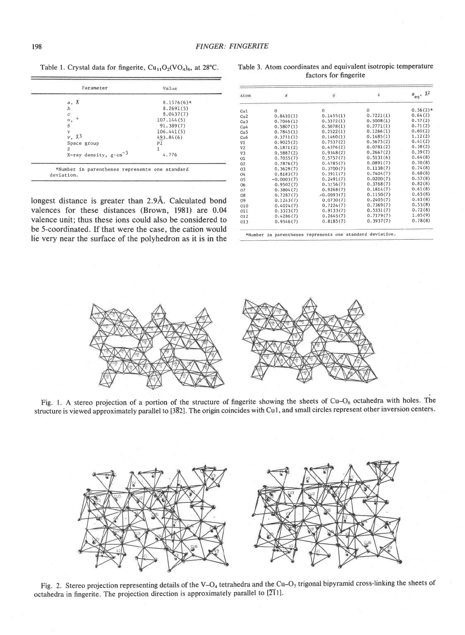Table 1. Crystal data for fingerite,  $Cu_{11}O_2(VO_4)$ <sub>6</sub>, at 28°C.

| $a, \lambda$                     | $8.1576(6)$ * |
|----------------------------------|---------------|
| $\boldsymbol{b}$                 | 8.2691(5)     |
| Ċ                                | 8.0437(7)     |
| ۰<br>α,                          | 107.144(5)    |
| $\beta$                          | 91.389(7)     |
| γ                                | 106.441(5)    |
| $V$ , $\lambda^3$                | 493.84(6)     |
| Space group                      | P1            |
| z                                |               |
| X-ray density, $g \cdot cm^{-3}$ | 4.776         |

longest distance is greater than 2.9Å. Calculated bond valences for these distances (Brown, 1981) are 0.04 valence unit; thus these ions could also be considered to be 5-coordinated. If that were the case, the cation would lie very near the surface of the polyhedron as it is in the

Atom × ÿ  $\widetilde{\mathbf{x}}$  $B_{eq}$  $0.56(2)*$ Cu<sub>1</sub>  $\mathbf{0}$ 0 0.14ss (1 ) 0<br>0.7221(1)  $0.8410(1)$ o.64 (2)  $Cu2$  $0.7046(1)$  $0.3372(1)$ o.57 (2) Cu3 0.5008(1)<br>0.2771(1) Cu<sub>4</sub> 0.5807 (1)  $0.5078(1)$  $0.71(2)$  $0.7845(1)$  $0.2522(1)$  $0.1266(1)$ o.60 (2) r.12 (2)  $0.1460(1)$  $0.1485(1)$ Cu6<br>V1 0.3711(1) o.9025 (2)  $0.7537(2)$  $0.41(2)$ 0.5675(2)<br>0.0781(2)  $0.38(2)$ 0.1376 (2) 0.1871(2)<br>0.5887(2) 0.9348(2)  $0.39(2)$ o.2667 (2) 0.5131(5) 0.64(8) 0. 7055 (7 ) o 5757 (7) o1 o 2  $0.7876(7)$  $0.4785(7)$  $0.0891(7)$ 0.70(8) 0.74(8) 0. 3628 (7 ) 0.3700(7)  $0.1138(7)$ 03<br>04<br>05<br>06<br>07<br>08  $0.8183(7)$ 0.3911(7) 0.68(8) o.1404<7 ) 0.0200(7)  $0.57(8)$  $-0.0003(7)$  $0.2491(7)$  $0.9502(7)$ 0.3256(7) 0.3768(7) 0.82(8)  $0.61(8)$ 0.3804(7) 0.9268(7) 0.1814(7)  $0.7287(7)$  $0.1150(7)$ 0.65(8)  $-0.0093(7)$  $0.2405(7)$ 0.61(8)  $09$ 0.1243(7 ) 0 0730(7)  $010$ o.4024(7'  $0.7224(7$ 0.7369(7) 0.53 (8)  $0.5331(7)$  $0.72(8)$ 011 0.3323(7) 0.9133(7) o12 o.4286 (7)  $0.2645(7$  $0.7179(7)$ 1.05(9)  $0.3937(7)$ 0.78(8) o13 0.9s46(7)  $0.8185(7)$ 

Table 3. Atom coordinates and equivalent isotropic temperature factors for fingerite

\*Number in parentheses represents one standard deviation.



Fig. 1. A stereo projection of a portion of the structure of fingerite showing the sheets of  $Cu-O<sub>6</sub>$  octahedra with holes. The structure is viewed approximately parallel to  $[3\overline{8}2]$ . The origin coincides with Cu1, and small circles represent other inversion centers.



Fig. 2. Stereo projection representing details of the V-O<sub>4</sub> tetrahedra and the Cu-O<sub>5</sub> trigonal bipyramid cross-linking the sheets of octahedra in fingerite. The projection direction is approximately parallel to  $[2\overline{1}1]$ .